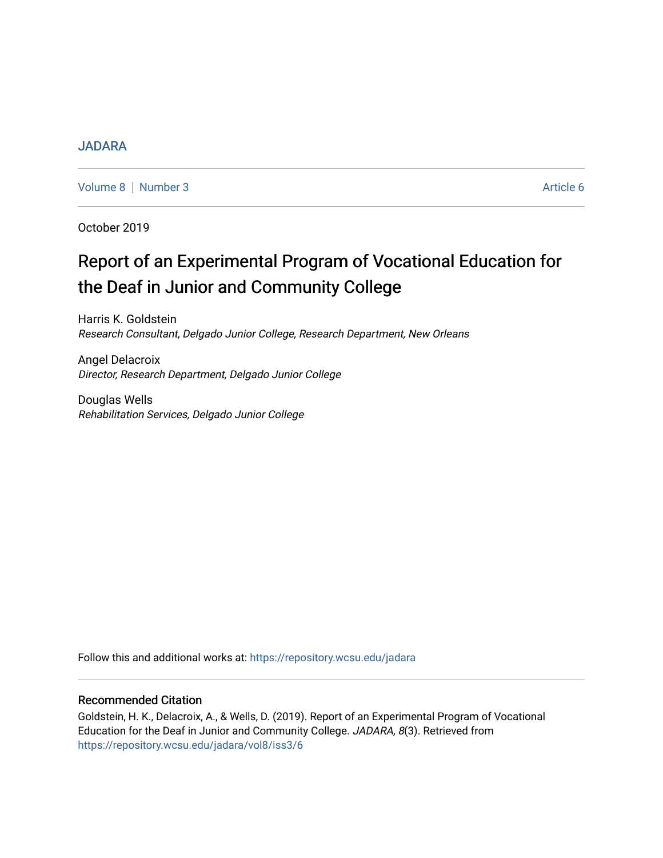# [JADARA](https://repository.wcsu.edu/jadara)

[Volume 8](https://repository.wcsu.edu/jadara/vol8) | [Number 3](https://repository.wcsu.edu/jadara/vol8/iss3) Article 6

October 2019

# Report of an Experimental Program of Vocational Education for the Deaf in Junior and Community College

Harris K. Goldstein Research Consultant, Delgado Junior College, Research Department, New Orleans

Angel Delacroix Director, Research Department, Delgado Junior College

Douglas Wells Rehabilitation Services, Delgado Junior College

Follow this and additional works at: [https://repository.wcsu.edu/jadara](https://repository.wcsu.edu/jadara?utm_source=repository.wcsu.edu%2Fjadara%2Fvol8%2Fiss3%2F6&utm_medium=PDF&utm_campaign=PDFCoverPages)

# Recommended Citation

Goldstein, H. K., Delacroix, A., & Wells, D. (2019). Report of an Experimental Program of Vocational Education for the Deaf in Junior and Community College. JADARA, 8(3). Retrieved from [https://repository.wcsu.edu/jadara/vol8/iss3/6](https://repository.wcsu.edu/jadara/vol8/iss3/6?utm_source=repository.wcsu.edu%2Fjadara%2Fvol8%2Fiss3%2F6&utm_medium=PDF&utm_campaign=PDFCoverPages)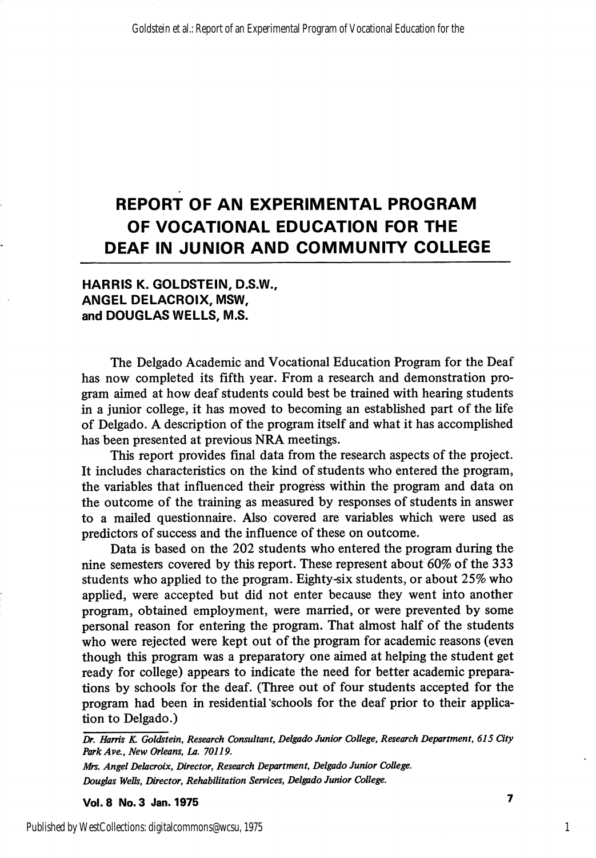# REPORT OF AN EXPERIMENTAL PROGRAM OF VOCATIONAL EDUCATION FOR THE DEAF IN JUNIOR AND COMMUNITY COLLEGE

# HARRIS K. GOLDSTEIN, D.S.W., ANGEL DELACROIX, MSW, and DOUGLAS WELLS, M.S.

The Delgado Academic and Vocational Education Program for the Deaf has now completed its fifth year. From a research and demonstration pro gram aimed at how deaf students could best be trained with hearing students in a junior college, it has moved to becoming an established part of the life of Delgado. A description of the program itself and what it has accomplished has been presented at previous NRA meetings.

This report provides final data from the research aspects of the project. It includes characteristics on the kind of students who entered the program, the variables that influenced their progress within the program and data on the outcome of the training as measured by responses of students in answer to a mailed questionnaire. Also covered are variables which were used as predictors of success and the influence of these on outcome.

Data is based on the 202 students who entered the program during the nine semesters covered by this report. These represent about 60% of the 333 students who apphed to the program. Eighty-six students, or about 25% who applied, were accepted but did not enter because they went into another program, obtained employment, were married, or were prevented by some personal reason for entering the program. That almost half of the students who were rejected were kept out of the program for academic reasons (even though this program was a preparatory one aimed at helping the student get ready for college) appears to indicate the need for better academic prepara tions by schools for the deaf. (Three out of four students accepted for the program had been in residential "schools for the deaf prior to their applica tion to Delgado.)

Vol. 8 No. 3 Jan. 1975 ^

1

Dr. Harris K. Goldstein, Research Consultant, Delgado Junior College, Research Department, 615 City ParkAve., New Orleans, La. 70119.

Mrs. Angel Delacroix, Director, Research Department, Delgado Junior College. Dougfas Wells, Director, Rehabilitation Services, Delgado Junior College.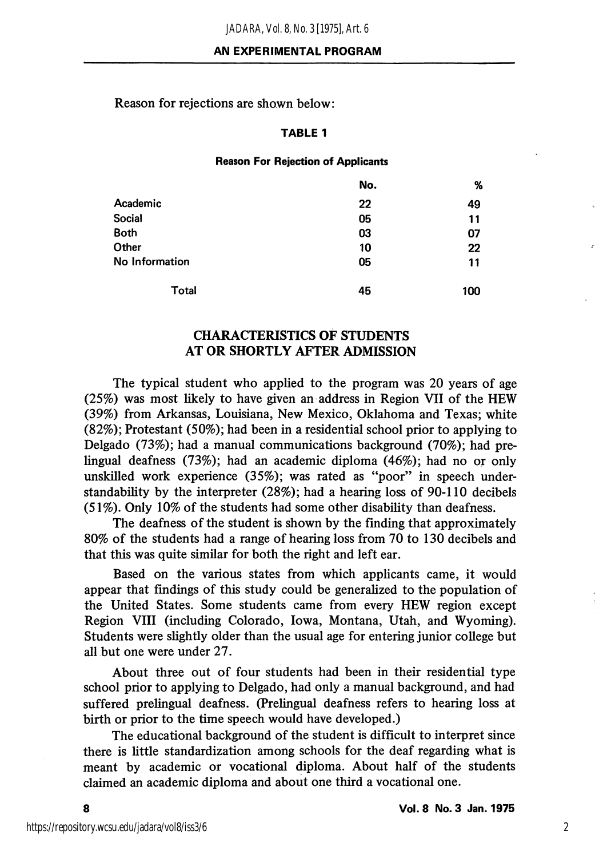Reason for rejections are shown below:

#### TABLE 1

#### Reason For Rejection of Applicants

|                | No. | %   |
|----------------|-----|-----|
| Academic       | 22  | 49  |
| <b>Social</b>  | 05  | 11  |
| <b>Both</b>    | 03  | 07  |
| Other          | 10  | 22  |
| No Information | 05  | 11  |
| Total          | 45  | 100 |

# CHARACTERISTICS OF STUDENTS AT OR SHORTLY AFTER ADMISSION

The typical student who applied to the program was 20 years of age (25%) was most likely to have given an address in Region VII of the HEW (39%) from Arkansas, Louisiana, New Mexico, Oklahoma and Texas; white (82%); Protestant (50%); had been in a residential school prior to applying to Delgado (73%); had a manual communications background (70%); had prelingual deafness (73%); had an academic diploma (46%); had no or only unskilled work experience (35%); was rated as "poor" in speech understandability by the interpreter (28%); had a hearing loss of 90-110 decibels (51%). Only 10% of the students had some other disability than deafness.

The deafness of the student is shown by the finding that approximately 80% of the students had a range of hearing loss from 70 to 130 decibels and that this was quite similar for both the right and left ear.

Based on the various states from which applicants came, it would appear that findings of this study could be generalized to the population of the United States. Some students came from every HEW region except Region VIII (including Colorado, Iowa, Montana, Utah, and Wyoming). Students were slightly older than the usual age for entering junior college but all but one were under 27.

About three out of four students had been in their residential type school prior to applying to Delgado, had only a manual background, and had suffered prelingual deafness. (Prelingual deafness refers to hearing loss at birth or prior to the time speech would have developed.)

The educational background of the student is difficult to interpret since there is little standardization among schools for the deaf regarding what is meant by academic or vocational diploma. About half of the students claimed an academic diploma and about one third a vocational one.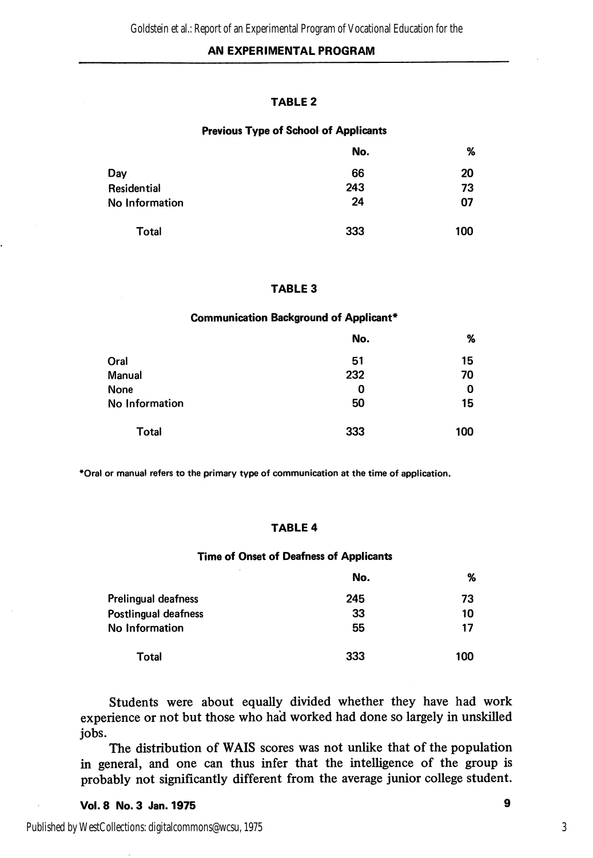# AN EXPERIMENTAL PROGRAM

#### TABLE 2

#### Previous Type of School of Applicants

|                | No. | %   |
|----------------|-----|-----|
| Day            | 66  | 20  |
| Residential    | 243 | 73  |
| No Information | 24  | 07  |
| Total          | 333 | 100 |

#### TABLE 3

#### Communication Background of Applicant\*

|                | No. | %   |
|----------------|-----|-----|
| Oral           | 51  | 15  |
| Manual         | 232 | 70  |
| None           | 0   | 0   |
| No Information | 50  | 15  |
| Total          | 333 | 100 |

\*Oral or manual refers to the primary type of communication at the time of application.

#### TABLE 4

#### Time of Onset of Deafness of Applicants

|                      | No. | %   |
|----------------------|-----|-----|
| Prelingual deafness  | 245 | 73  |
| Postlingual deafness | 33  | 10  |
| No Information       | 55  | 17  |
| Total                | 333 | 100 |

Students were about equally divided whether they have had work experience or not but those who had worked had done so largely in unskilled jobs.

The distribution of WAIS scores was not unlike that of the population in general, and one can thus infer that the intelligence of the group is probably not significantly different from the average junior college student.

Vol. 8 No. 3 Jan. 1975 9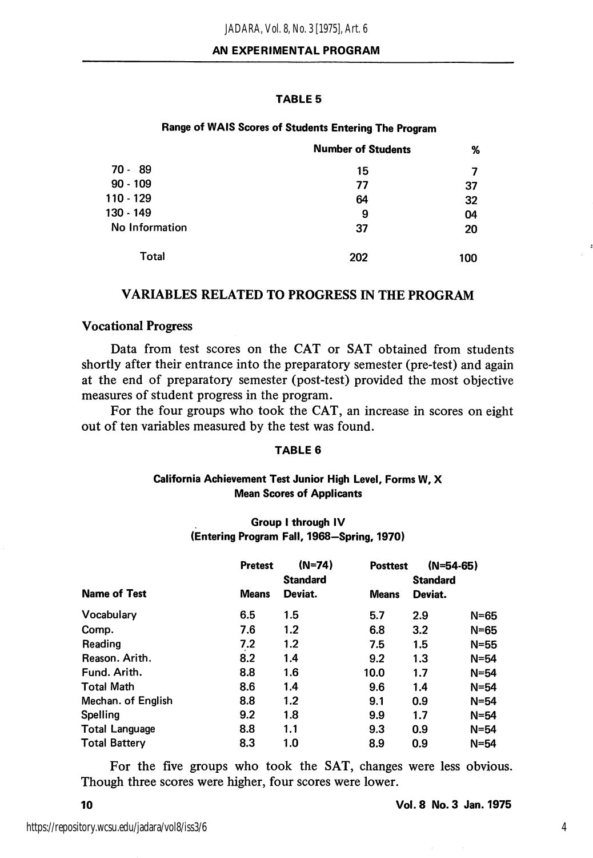#### TABLE 5

#### Range of WAIS Scores of Students Entering The Program

|                | <b>Number of Students</b> | %   |
|----------------|---------------------------|-----|
| 70 - 89        | 15                        |     |
| $90 - 109$     | 77                        | 37  |
| 110 - 129      | 64                        | 32  |
| 130 - 149      | 9                         | 04  |
| No Information | 37                        | 20  |
| Total          | 202                       | 100 |

#### VARIABLES RELATED TO PROGRESS IN THE PROGRAM

#### Vocational Progress

Data from test scores on the CAT or SAT obtained from students shortly after their entrance into the preparatory semester (pre-test) and again at the end of preparatory semester (post-test) provided the most objective measures of student progress in the program.

For the four groups who took the CAT, an increase in scores on eight out of ten variables measured by the test was found.

#### TABLE 6

#### California Achievement Test Junior High Level, Forms W, X Mean Scores of Applicants

#### Group I through IV (Entering Program Fall, 1968—Spring, 1970)

|                       | <b>Pretest</b> | $(N=74)$<br><b>Standard</b> | <b>Posttest</b> | $(N=54-65)$<br><b>Standard</b> |          |
|-----------------------|----------------|-----------------------------|-----------------|--------------------------------|----------|
| <b>Name of Test</b>   | <b>Means</b>   | Deviat.                     | <b>Means</b>    | Deviat.                        |          |
| Vocabulary            | 6.5            | 1.5                         | 5.7             | 2.9                            | $N = 65$ |
| Comp.                 | 7.6            | 1.2                         | 6.8             | 3.2                            | $N = 65$ |
| Reading               | 7.2            | $1.2\,$                     | 7.5             | 1.5                            | $N=55$   |
| Reason, Arith.        | 8.2            | 1.4                         | 9.2             | 1.3                            | $N=54$   |
| Fund. Arith.          | 8.8            | 1.6                         | 10.0            | 1.7                            | $N = 54$ |
| <b>Total Math</b>     | 8.6            | 1.4                         | 9.6             | 1.4                            | $N = 54$ |
| Mechan. of English    | 8.8            | 1.2                         | 9.1             | 0.9                            | $N=54$   |
| Spelling              | 9.2            | 1.8                         | 9.9             | 1.7                            | $N = 54$ |
| <b>Total Language</b> | 8.8            | 1.1                         | 9.3             | 0.9                            | $N = 54$ |
| <b>Total Battery</b>  | 8.3            | 1.0                         | 8.9             | 0.9                            | $N = 54$ |

For the five groups who took the SAT, changes were less obvious. Though three scores were higher, four scores were lower.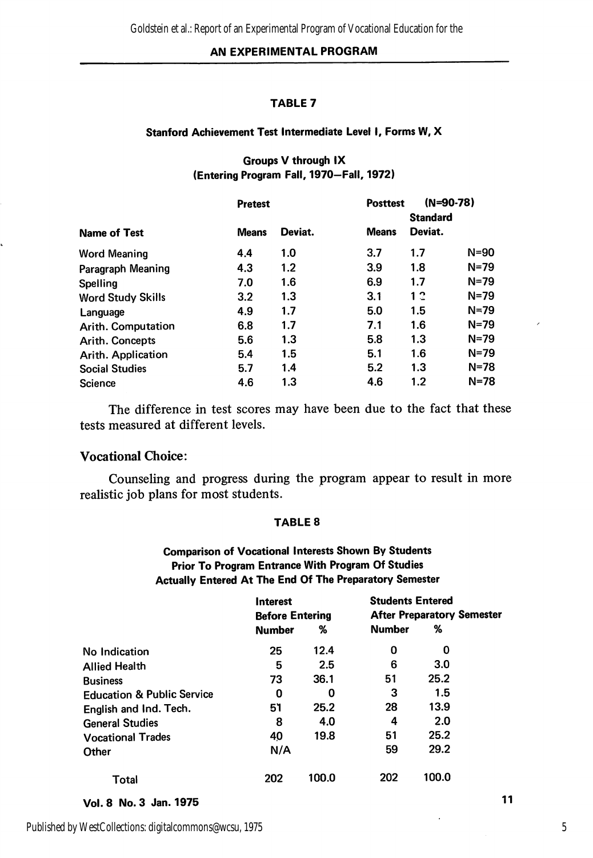#### AN EXPERIMENTAL PROGRAM

#### TABLE 7

#### Stanford Achievement Test Intermediate Level I, Forms W, X

#### Groups V through IX (Entering Program Fall, 1970—Fall, 1972)

|                          | <b>Pretest</b> |         | <b>Posttest</b> | $(N=90-78)$                |          |
|--------------------------|----------------|---------|-----------------|----------------------------|----------|
| <b>Name of Test</b>      | <b>Means</b>   | Deviat. | <b>Means</b>    | <b>Standard</b><br>Deviat. |          |
| <b>Word Meaning</b>      | 4.4            | 1.0     | 3.7             | 1.7                        | N=90     |
| Paragraph Meaning        | 4.3            | 1.2     | 3.9             | 1.8                        | $N = 79$ |
| Spelling                 | 7.0            | 1.6     | 6.9             | 1.7                        | $N = 79$ |
| <b>Word Study Skills</b> | 3.2            | 1.3     | 3.1             | 12                         | $N = 79$ |
| Language                 | 4.9            | 1.7     | 5.0             | 1.5                        | $N = 79$ |
| Arith. Computation       | 6.8            | 1.7     | 7.1             | 1.6                        | $N = 79$ |
| <b>Arith. Concepts</b>   | 5.6            | 1.3     | 5.8             | 1.3                        | N=79     |
| Arith. Application       | 5.4            | 1.5     | 5.1             | 1.6                        | N=79     |
| <b>Social Studies</b>    | 5.7            | 1.4     | 5.2             | 1.3                        | $N = 78$ |
| Science                  | 4.6            | 1.3     | 4.6             | 1.2                        | $N = 78$ |

The difference in test scores may have been due to the fact that these tests measured at different levels.

#### Vocational Choice:

Counseling and progress during the program appear to result in more realistic job plans for most students.

#### TABLE 8

# Comparison of Vocational Interests Shown By Students Prior To Program Entrance With Program Of Studies Actually Entered At The End Of The Preparatory Semester

|                                       | <b>Interest</b>        |       | <b>Students Entered</b>           |       |    |
|---------------------------------------|------------------------|-------|-----------------------------------|-------|----|
|                                       | <b>Before Entering</b> |       | <b>After Preparatory Semester</b> |       |    |
|                                       | <b>Number</b>          | %     | <b>Number</b>                     | %     |    |
| No Indication                         | 25                     | 12.4  | 0                                 | 0     |    |
| <b>Allied Health</b>                  | 5                      | 2.5   | 6                                 | 3.0   |    |
| <b>Business</b>                       | 73                     | 36.1  | 51                                | 25.2  |    |
| <b>Education &amp; Public Service</b> | 0                      | 0     | 3                                 | 1.5   |    |
| English and Ind. Tech.                | 51                     | 25.2  | 28                                | 13.9  |    |
| <b>General Studies</b>                | 8                      | 4.0   | 4                                 | 2.0   |    |
| <b>Vocational Trades</b>              | 40                     | 19.8  | 51                                | 25.2  |    |
| Other                                 | N/A                    |       | 59                                | 29.2  |    |
| Total                                 | 202                    | 100.0 | 202                               | 100.0 |    |
| Vol. 8 No. 3 Jan. 1975                |                        |       |                                   |       | 11 |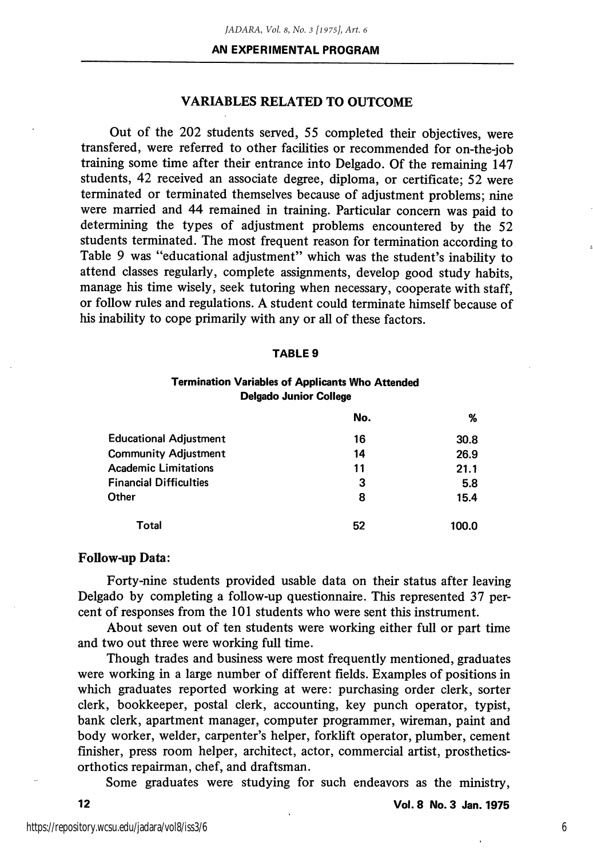# VARIABLES RELATED TO OUTCOME

Out of the 202 students served, 55 completed their objectives, were transfered, were referred to other facilities or recommended for on-the-job training some time after their entrance into Delgado. Of the remaining 147 students, 42 received an associate degree, diploma, or certificate; 52 were terminated or terminated themselves because of adjustment problems; nine were married and 44 remained in training. Particular concern was paid to determining the types of adjustment problems encountered by the 52 students terminated. The most frequent reason for termination according to Table 9 was "educational adjustment" which was the student's inability to attend classes regularly, complete assignments, develop good study habits, manage his time wisely, seek tutoring when necessary, cooperate with staff, or follow rules and regulations. A student could terminate himself because of his inability to cope primarily with any or all of these factors.

#### TABLE 9

#### Termination Variables of Applicants Who Attended Delgado Junior College

|                               | No. | %     |
|-------------------------------|-----|-------|
| <b>Educational Adjustment</b> | 16  | 30.8  |
| <b>Community Adjustment</b>   | 14  | 26.9  |
| <b>Academic Limitations</b>   | 11  | 21.1  |
| <b>Financial Difficulties</b> | 3   | 5.8   |
| Other                         | 8   | 15.4  |
| Total                         | 52  | 100.0 |

#### Follow-up Data:

Forty-nine students provided usable data on their status after leaving Delgado by completing a follow-up questionnaire. This represented 37 per cent of responses from the 101 students who were sent this instrument.

About seven out of ten students were working either full or part time and two out three were working full time.

Though trades and business were most frequently mentioned, graduates were working in a large number of different fields. Examples of positions in which graduates reported working at were: purchasing order clerk, sorter clerk, bookkeeper, postal clerk, accounting, key punch operator, typist, bank clerk, apartment manager, computer programmer, wireman, paint and body worker, welder, carpenter's helper, forklift operator, plumber, cement finisher, press room helper, architect, actor, commercial artist, prostheticsorthotics repairman, chef, and draftsman.

Some graduates were studying for such endeavors as the ministry,